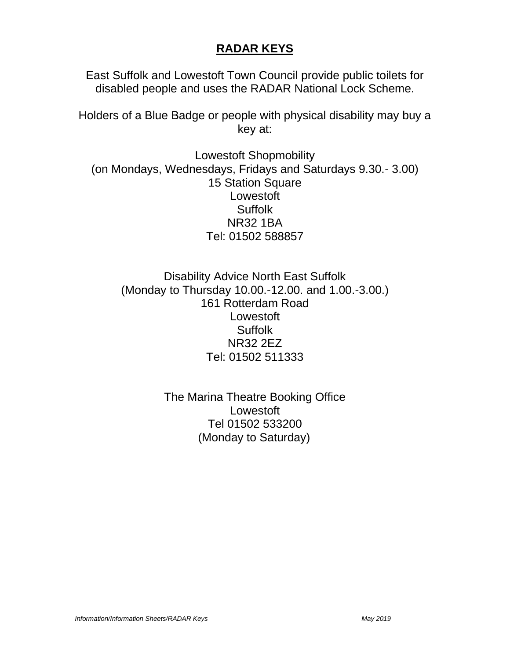## **RADAR KEYS**

East Suffolk and Lowestoft Town Council provide public toilets for disabled people and uses the RADAR National Lock Scheme.

Holders of a Blue Badge or people with physical disability may buy a key at:

Lowestoft Shopmobility (on Mondays, Wednesdays, Fridays and Saturdays 9.30.- 3.00) 15 Station Square Lowestoft Suffolk NR32 1BA Tel: 01502 588857

Disability Advice North East Suffolk (Monday to Thursday 10.00.-12.00. and 1.00.-3.00.) 161 Rotterdam Road Lowestoft **Suffolk** NR32 2EZ Tel: 01502 511333

> The Marina Theatre Booking Office Lowestoft Tel 01502 533200 (Monday to Saturday)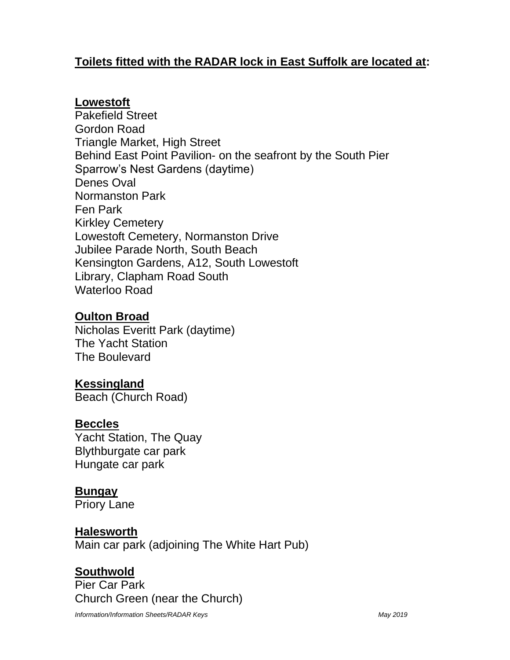# **Toilets fitted with the RADAR lock in East Suffolk are located at:**

### **Lowestoft**

Pakefield Street Gordon Road Triangle Market, High Street Behind East Point Pavilion- on the seafront by the South Pier Sparrow's Nest Gardens (daytime) Denes Oval Normanston Park Fen Park Kirkley Cemetery Lowestoft Cemetery, Normanston Drive Jubilee Parade North, South Beach Kensington Gardens, A12, South Lowestoft Library, Clapham Road South Waterloo Road

### **Oulton Broad**

Nicholas Everitt Park (daytime) The Yacht Station The Boulevard

## **Kessingland**

Beach (Church Road)

### **Beccles**

Yacht Station, The Quay Blythburgate car park Hungate car park

## **Bungay**

Priory Lane

## **Halesworth**

Main car park (adjoining The White Hart Pub)

# **Southwold**

Pier Car Park Church Green (near the Church)

*Information/Information Sheets/RADAR Keys May 2019*